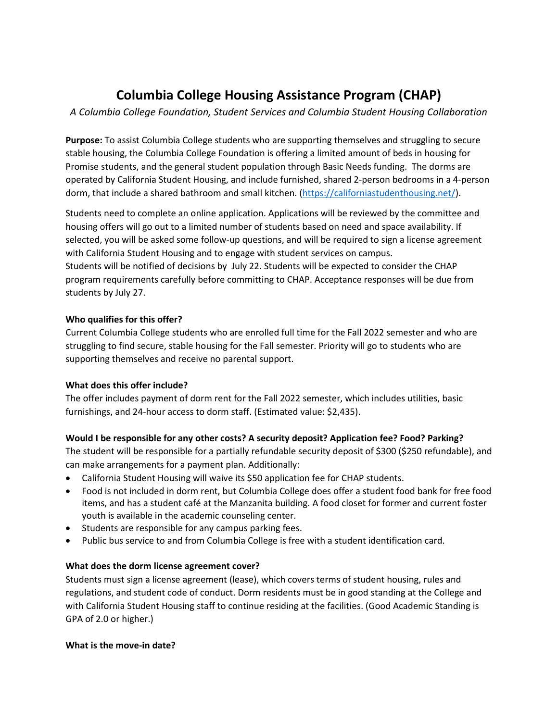# **Columbia College Housing Assistance Program (CHAP)**

*A Columbia College Foundation, Student Services and Columbia Student Housing Collaboration*

**Purpose:** To assist Columbia College students who are supporting themselves and struggling to secure stable housing, the Columbia College Foundation is offering a limited amount of beds in housing for Promise students, and the general student population through Basic Needs funding. The dorms are operated by California Student Housing, and include furnished, shared 2-person bedrooms in a 4-person dorm, that include a shared bathroom and small kitchen. [\(https://californiastudenthousing.net/\)](https://californiastudenthousing.net/).

Students need to complete an online application. Applications will be reviewed by the committee and housing offers will go out to a limited number of students based on need and space availability. If selected, you will be asked some follow-up questions, and will be required to sign a license agreement with California Student Housing and to engage with student services on campus. Students will be notified of decisions by July 22. Students will be expected to consider the CHAP program requirements carefully before committing to CHAP. Acceptance responses will be due from students by July 27.

#### **Who qualifies for this offer?**

Current Columbia College students who are enrolled full time for the Fall 2022 semester and who are struggling to find secure, stable housing for the Fall semester. Priority will go to students who are supporting themselves and receive no parental support.

# **What does this offer include?**

The offer includes payment of dorm rent for the Fall 2022 semester, which includes utilities, basic furnishings, and 24-hour access to dorm staff. (Estimated value: \$2,435).

# **Would I be responsible for any other costs? A security deposit? Application fee? Food? Parking?**

The student will be responsible for a partially refundable security deposit of \$300 (\$250 refundable), and can make arrangements for a payment plan. Additionally:

- California Student Housing will waive its \$50 application fee for CHAP students.
- Food is not included in dorm rent, but Columbia College does offer a student food bank for free food items, and has a student café at the Manzanita building. A food closet for former and current foster youth is available in the academic counseling center.
- Students are responsible for any campus parking fees.
- Public bus service to and from Columbia College is free with a student identification card.

# **What does the dorm license agreement cover?**

Students must sign a license agreement (lease), which covers terms of student housing, rules and regulations, and student code of conduct. Dorm residents must be in good standing at the College and with California Student Housing staff to continue residing at the facilities. (Good Academic Standing is GPA of 2.0 or higher.)

# **What is the move-in date?**